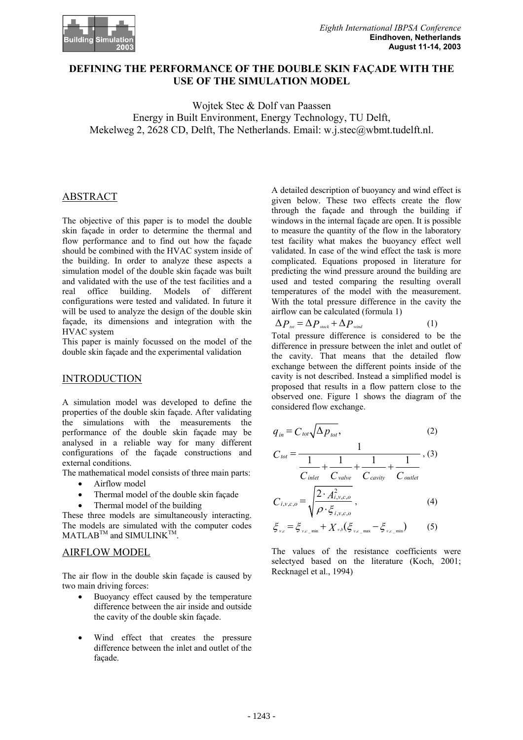

# **DEFINING THE PERFORMANCE OF THE DOUBLE SKIN FAÇADE WITH THE USE OF THE SIMULATION MODEL**

Wojtek Stec & Dolf van Paassen Energy in Built Environment, Energy Technology, TU Delft, Mekelweg 2, 2628 CD, Delft, The Netherlands. Email: w.j.stec@wbmt.tudelft.nl.

### ABSTRACT

The objective of this paper is to model the double skin façade in order to determine the thermal and flow performance and to find out how the façade should be combined with the HVAC system inside of the building. In order to analyze these aspects a simulation model of the double skin façade was built and validated with the use of the test facilities and a real office building. Models of different configurations were tested and validated. In future it will be used to analyze the design of the double skin façade, its dimensions and integration with the HVAC system

This paper is mainly focussed on the model of the double skin façade and the experimental validation

#### INTRODUCTION

A simulation model was developed to define the properties of the double skin façade. After validating the simulations with the measurements the performance of the double skin façade may be analysed in a reliable way for many different configurations of the façade constructions and external conditions.

The mathematical model consists of three main parts:

- Airflow model
- Thermal model of the double skin façade
- Thermal model of the building

These three models are simultaneously interacting. The models are simulated with the computer codes MATLAB<sup>TM</sup> and SIMULINK<sup>TM</sup>

### AIRFLOW MODEL

The air flow in the double skin façade is caused by two main driving forces:

- Buoyancy effect caused by the temperature difference between the air inside and outside the cavity of the double skin façade.
- Wind effect that creates the pressure difference between the inlet and outlet of the façade.

A detailed description of buoyancy and wind effect is given below. These two effects create the flow through the façade and through the building if windows in the internal façade are open. It is possible to measure the quantity of the flow in the laboratory test facility what makes the buoyancy effect well validated. In case of the wind effect the task is more complicated. Equations proposed in literature for predicting the wind pressure around the building are used and tested comparing the resulting overall temperatures of the model with the measurement. With the total pressure difference in the cavity the airflow can be calculated (formula 1)

$$
\Delta P_{\text{tot}} = \Delta P_{\text{stack}} + \Delta P_{\text{wind}} \tag{1}
$$

Total pressure difference is considered to be the difference in pressure between the inlet and outlet of the cavity. That means that the detailed flow exchange between the different points inside of the cavity is not described. Instead a simplified model is proposed that results in a flow pattern close to the observed one. Figure 1 shows the diagram of the considered flow exchange.

$$
q_{in} = C_{tot} \sqrt{\Delta p_{tot}},
$$
 (2)

$$
C_{\text{tot}} = \frac{1}{\frac{1}{C_{\text{inlet}}} + \frac{1}{C_{\text{value}}} + \frac{1}{C_{\text{cavity}}} + \frac{1}{C_{\text{outlet}}}}, (3)
$$

$$
C_{i,v,c,o} = \sqrt{\frac{2 \cdot A_{i,v,c,o}^2}{\rho \cdot \xi_{i,v,c,o}}},
$$
\n(4)

$$
\xi_{v,c} = \xi_{v,c_{\text{min}}} + X_{v,b} (\xi_{v,c_{\text{max}}} - \xi_{v,c_{\text{min}}}) \tag{5}
$$

The values of the resistance coefficients were selectyed based on the literature (Koch, 2001; Recknagel et al., 1994)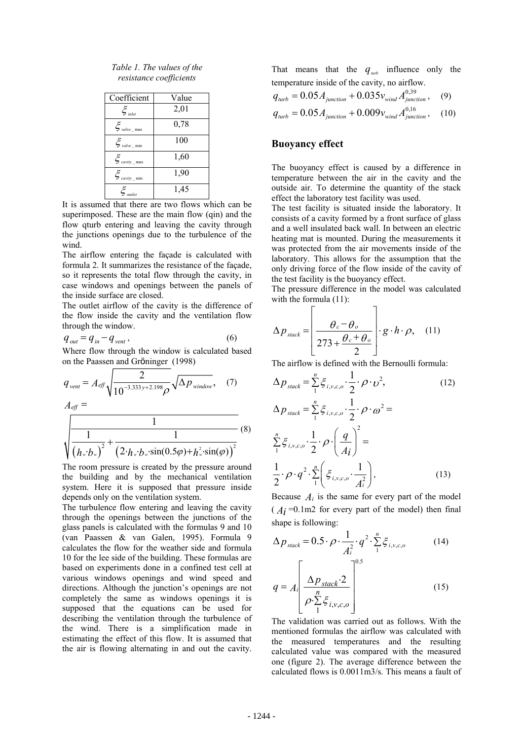| Table 1. The values of the |
|----------------------------|
| resistance coefficients    |

| Coefficient                                       | Value |
|---------------------------------------------------|-------|
| $\xi_{\scriptscriptstyle inlet}$                  | 2,01  |
| $\xi_{\it valve\_max}$                            | 0,78  |
| $\boldsymbol{\xi}_{\textit{value}\_\textit{min}}$ | 100   |
| $\mathcal{E}_{\textit{cavity}_{\text{max}}}$      | 1,60  |
| $\mathcal{E}_{\textit{cavity\_min}}$              | 1,90  |
| $\xi_{_{\textit{\scriptsize\textit{outlet}}}}$    | 1,45  |

It is assumed that there are two flows which can be superimposed. These are the main flow (qin) and the flow qturb entering and leaving the cavity through the junctions openings due to the turbulence of the wind.

The airflow entering the façade is calculated with formula 2. It summarizes the resistance of the façade, so it represents the total flow through the cavity, in case windows and openings between the panels of the inside surface are closed.

The outlet airflow of the cavity is the difference of the flow inside the cavity and the ventilation flow through the window.

$$
q_{out} = q_{in} - q_{vent},\tag{6}
$$

Where flow through the window is calculated based on the Paassen and Gröninger (1998)

$$
q_{vent} = A_{eff} \sqrt{\frac{2}{10^{-3.333y + 2.198} \rho}} \sqrt{\Delta p_{window}}, \quad (7)
$$
  

$$
A_{eff} = \sqrt{\frac{1}{(h_w b_w)^2} + \frac{1}{(2 \cdot h_w \cdot b_w \cdot \sin(0.5\varphi) + h_w^2 \cdot \sin(\varphi))} }
$$
(8)

The room pressure is created by the pressure around the building and by the mechanical ventilation system. Here it is supposed that pressure inside depends only on the ventilation system.

The turbulence flow entering and leaving the cavity through the openings between the junctions of the glass panels is calculated with the formulas 9 and 10 (van Paassen & van Galen, 1995). Formula 9 calculates the flow for the weather side and formula 10 for the lee side of the building. These formulas are based on experiments done in a confined test cell at various windows openings and wind speed and directions. Although the junction's openings are not completely the same as windows openings it is supposed that the equations can be used for describing the ventilation through the turbulence of the wind. There is a simplification made in estimating the effect of this flow. It is assumed that the air is flowing alternating in and out the cavity. That means that the  $q_{\mu\nu}$  influence only the temperature inside of the cavity, no airflow.

$$
q_{turb} = 0.05 A_{junction} + 0.035 v_{wind} A_{junction}^{0.39}, \quad (9)
$$
  

$$
q_{turb} = 0.05 A_{junction} + 0.009 v_{wind} A_{junction}^{0.16}, \quad (10)
$$

#### **Buoyancy effect**

The buoyancy effect is caused by a difference in temperature between the air in the cavity and the outside air. To determine the quantity of the stack effect the laboratory test facility was used.

The test facility is situated inside the laboratory. It consists of a cavity formed by a front surface of glass and a well insulated back wall. In between an electric heating mat is mounted. During the measurements it was protected from the air movements inside of the laboratory. This allows for the assumption that the only driving force of the flow inside of the cavity of the test facility is the buoyancy effect.

The pressure difference in the model was calculated with the formula  $(11)$ :

$$
\Delta p_{\text{stack}} = \left[ \frac{\theta_c - \theta_o}{273 + \frac{\theta_c + \theta_o}{2}} \right] \cdot g \cdot h \cdot \rho, \quad (11)
$$

The airflow is defined with the Bernoulli formula:

$$
\Delta p_{stack} = \sum_{1}^{n} \xi_{i,v,c,o} \cdot \frac{1}{2} \cdot \rho \cdot \upsilon^{2},
$$
\n
$$
\Delta p_{stack} = \sum_{1}^{n} \xi_{i,v,c,o} \cdot \frac{1}{2} \cdot \rho \cdot \omega^{2} =
$$
\n
$$
\sum_{1}^{n} \xi_{i,v,c,o} \cdot \frac{1}{2} \cdot \rho \cdot \left(\frac{q}{Ai}\right)^{2} =
$$
\n
$$
\frac{1}{2} \cdot \rho \cdot q^{2} \cdot \sum_{1}^{n} \left(\xi_{i,v,c,o} \cdot \frac{1}{A_{i}^{2}}\right),
$$
\n(13)

Because  $A_i$  is the same for every part of the model  $(A<sub>i</sub>=0.1m2$  for every part of the model) then final shape is following:

$$
\Delta p_{\text{stack}} = 0.5 \cdot \rho \cdot \frac{1}{A_i^2} \cdot q^2 \cdot \sum_{1}^{n} \xi_{i,v,c,o}
$$
(14)

$$
q = A_i \left[ \frac{\Delta p_{stack} 2}{\rho \sum_{i=1}^{n} \xi_{i,v,c,o}} \right]^{0.5}
$$
 (15)

The validation was carried out as follows. With the mentioned formulas the airflow was calculated with the measured temperatures and the resulting calculated value was compared with the measured one (figure 2). The average difference between the calculated flows is 0.0011m3/s. This means a fault of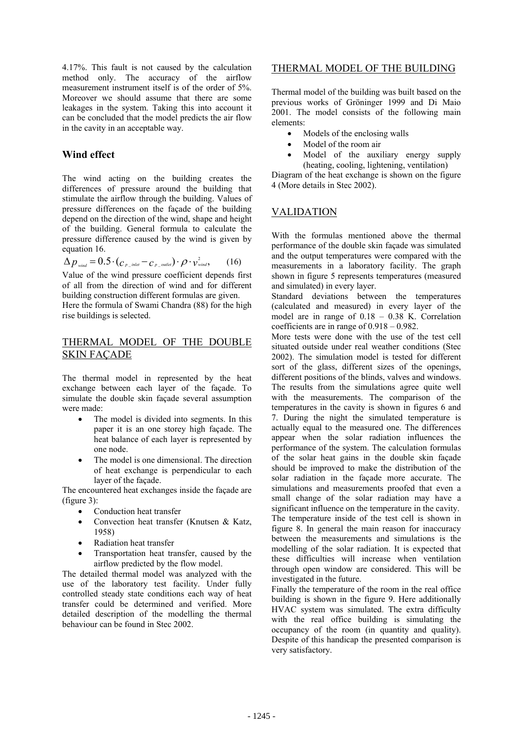4.17%. This fault is not caused by the calculation method only. The accuracy of the airflow measurement instrument itself is of the order of 5%. Moreover we should assume that there are some leakages in the system. Taking this into account it can be concluded that the model predicts the air flow in the cavity in an acceptable way.

#### **Wind effect**

The wind acting on the building creates the differences of pressure around the building that stimulate the airflow through the building. Values of pressure differences on the façade of the building depend on the direction of the wind, shape and height of the building. General formula to calculate the pressure difference caused by the wind is given by equation 16.

$$
\Delta p_{\text{wind}} = 0.5 \cdot (c_{p\_inlet} - c_{p\_outlet}) \cdot \rho \cdot v_{\text{wind}}^2, \qquad (16)
$$

Value of the wind pressure coefficient depends first of all from the direction of wind and for different building construction different formulas are given.

Here the formula of Swami Chandra (88) for the high rise buildings is selected.

# THERMAL MODEL OF THE DOUBLE SKIN FAÇADE

The thermal model in represented by the heat exchange between each layer of the façade. To simulate the double skin façade several assumption were made:

- The model is divided into segments. In this paper it is an one storey high façade. The heat balance of each layer is represented by one node.
- The model is one dimensional. The direction of heat exchange is perpendicular to each layer of the façade.

The encountered heat exchanges inside the façade are (figure 3):

- Conduction heat transfer
- Convection heat transfer (Knutsen & Katz, 1958)
- Radiation heat transfer
- Transportation heat transfer, caused by the airflow predicted by the flow model.

The detailed thermal model was analyzed with the use of the laboratory test facility. Under fully controlled steady state conditions each way of heat transfer could be determined and verified. More detailed description of the modelling the thermal behaviour can be found in Stec 2002.

# THERMAL MODEL OF THE BUILDING

Thermal model of the building was built based on the previous works of Gröninger 1999 and Di Maio 2001. The model consists of the following main elements:

- Models of the enclosing walls
- Model of the room air
- Model of the auxiliary energy supply (heating, cooling, lightening, ventilation)

Diagram of the heat exchange is shown on the figure 4 (More details in Stec 2002).

### VALIDATION

With the formulas mentioned above the thermal performance of the double skin façade was simulated and the output temperatures were compared with the measurements in a laboratory facility. The graph shown in figure 5 represents temperatures (measured and simulated) in every layer.

Standard deviations between the temperatures (calculated and measured) in every layer of the model are in range of 0.18 – 0.38 K. Correlation coefficients are in range of 0.918 – 0.982.

More tests were done with the use of the test cell situated outside under real weather conditions (Stec 2002). The simulation model is tested for different sort of the glass, different sizes of the openings, different positions of the blinds, valves and windows. The results from the simulations agree quite well with the measurements. The comparison of the temperatures in the cavity is shown in figures 6 and 7. During the night the simulated temperature is actually equal to the measured one. The differences appear when the solar radiation influences the performance of the system. The calculation formulas of the solar heat gains in the double skin façade should be improved to make the distribution of the solar radiation in the façade more accurate. The simulations and measurements proofed that even a small change of the solar radiation may have a significant influence on the temperature in the cavity. The temperature inside of the test cell is shown in figure 8. In general the main reason for inaccuracy between the measurements and simulations is the modelling of the solar radiation. It is expected that these difficulties will increase when ventilation through open window are considered. This will be

investigated in the future. Finally the temperature of the room in the real office building is shown in the figure 9. Here additionally HVAC system was simulated. The extra difficulty with the real office building is simulating the occupancy of the room (in quantity and quality). Despite of this handicap the presented comparison is very satisfactory.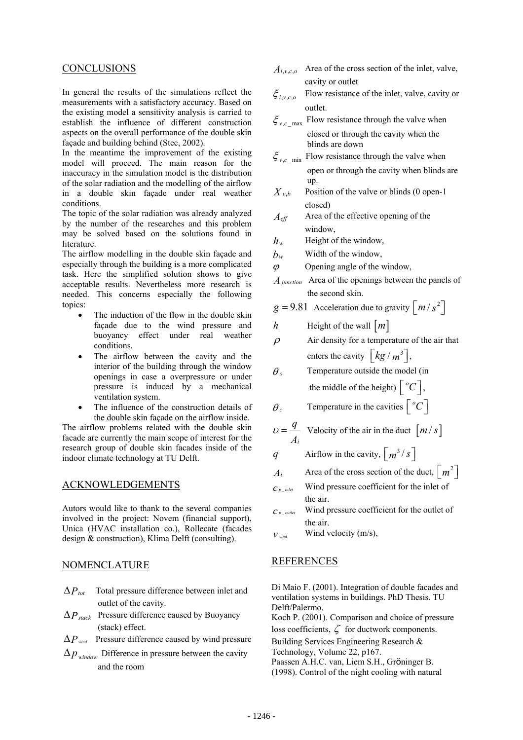#### CONCLUSIONS

In general the results of the simulations reflect the measurements with a satisfactory accuracy. Based on the existing model a sensitivity analysis is carried to establish the influence of different construction aspects on the overall performance of the double skin façade and building behind (Stec, 2002).

In the meantime the improvement of the existing model will proceed. The main reason for the inaccuracy in the simulation model is the distribution of the solar radiation and the modelling of the airflow in a double skin façade under real weather conditions.

The topic of the solar radiation was already analyzed by the number of the researches and this problem may be solved based on the solutions found in literature.

The airflow modelling in the double skin façade and especially through the building is a more complicated task. Here the simplified solution shows to give acceptable results. Nevertheless more research is needed. This concerns especially the following topics:

- The induction of the flow in the double skin façade due to the wind pressure and buoyancy effect under real weather conditions.
- The airflow between the cavity and the interior of the building through the window openings in case a overpressure or under pressure is induced by a mechanical ventilation system.
- The influence of the construction details of the double skin façade on the airflow inside.

The airflow problems related with the double skin facade are currently the main scope of interest for the research group of double skin facades inside of the indoor climate technology at TU Delft.

# ACKNOWLEDGEMENTS

Autors would like to thank to the several companies involved in the project: Novem (financial support), Unica (HVAC installation co.), Rollecate (facades design & construction), Klima Delft (consulting).

#### NOMENCLATURE

- ∆*Ptot* Total pressure difference between inlet and outlet of the cavity.
- ∆*Pstack* Pressure difference caused by Buoyancy (stack) effect.
- ∆*P wind* Pressure difference caused by wind pressure
- $\Delta p_{window}$  Difference in pressure between the cavity and the room
- $A<sub>iyco</sub>$  Area of the cross section of the inlet, valve, cavity or outlet
- $\xi_{ij}$  Flow resistance of the inlet, valve, cavity or outlet.
- $\zeta_{\nu c \max}$  Flow resistance through the valve when closed or through the cavity when the blinds are down
- $\zeta_{\nu}$ <sub>c</sub> <sub>min</sub> Flow resistance through the valve when open or through the cavity when blinds are up.
- $X_{v,b}$  Position of the valve or blinds (0 open-1) closed)
- *Aeff* Area of the effective opening of the window,
- *hw* Height of the window,
- $b_w$  Width of the window,
- $\varphi$  Opening angle of the window,
- *Ajunction* Area of the openings between the panels of the second skin.

$$
g = 9.81
$$
 Acceleration due to gravity  $\lfloor m/s^2 \rfloor$ 

- *h* Height of the wall  $\lfloor m \rfloor$
- $\rho$  Air density for a temperature of the air that enters the cavity  $\left[ \frac{kg}{m^3} \right]$ ,
- $\theta$  Temperature outside the model (in the middle of the height)  $\lceil {^o}C \rceil$ ,

$$
\theta_c
$$
 Temperature in the cavities  $\begin{bmatrix} ^{\circ}C \end{bmatrix}$ 

$$
U = \frac{q}{A_i}
$$
 Velocity of the air in the duct  $\left[ m / s \right]$ 

- *q* Airflow in the cavity,  $\left\lceil \frac{m^3}{s} \right\rceil$
- *A<sub>i</sub>* Area of the cross section of the duct,  $\lceil m^2 \rceil$
- $c_{p\_inter}$  Wind pressure coefficient for the inlet of the air.
- $c_{p\_outlet}$  Wind pressure coefficient for the outlet of the air.
- $v_{wind}$  Wind velocity (m/s),

# REFERENCES

Di Maio F. (2001). Integration of double facades and ventilation systems in buildings. PhD Thesis. TU Delft/Palermo.

Koch P. (2001). Comparison and choice of pressure loss coefficients,  $\zeta$  for ductwork components.

Building Services Engineering Research &

Technology, Volume 22, p167.

Paassen A.H.C. van, Liem S.H., Gröninger B. (1998). Control of the night cooling with natural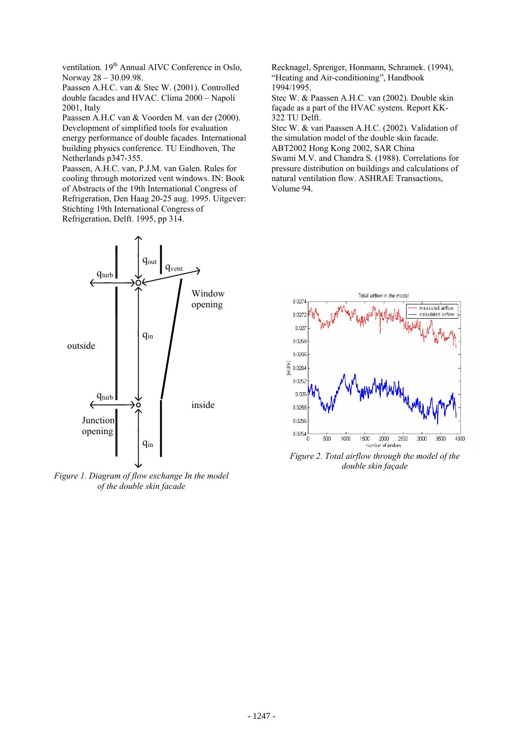ventilation. 19<sup>th</sup> Annual AIVC Conference in Oslo, Norway 28 – 30.09.98.

Paassen A.H.C. van & Stec W. (2001). Controlled double facades and HVAC. Clima 2000 – Napoli 2001, Italy

Paassen A.H.C van & Voorden M. van der (2000). Development of simplified tools for evaluation energy performance of double facades. International building physics conference. TU Eindhoven, The Netherlands p347-355.

Paassen, A.H.C. van, P.J.M. van Galen. Rules for cooling through motorized vent windows. IN: Book of Abstracts of the 19th International Congress of Refrigeration, Den Haag 20-25 aug. 1995. Uitgever: Stichting 19th International Congress of Refrigeration, Delft. 1995, pp 314.



*Figure 1. Diagram of flow exchange In the model of the double skin facade* 

Recknagel, Sprenger, Honmann, Schramek. (1994), "Heating and Air-conditioning", Handbook 1994/1995.

Stec W. & Paassen A.H.C. van (2002). Double skin façade as a part of the HVAC system. Report KK-322 TU Delft.

Stec W. & van Paassen A.H.C. (2002). Validation of the simulation model of the double skin facade. ABT2002 Hong Kong 2002, SAR China

Swami M.V. and Chandra S. (1988). Correlations for pressure distribution on buildings and calculations of natural ventilation flow. ASHRAE Transactions, Volume 94.



*Figure 2. Total airflow through the model of the double skin façade*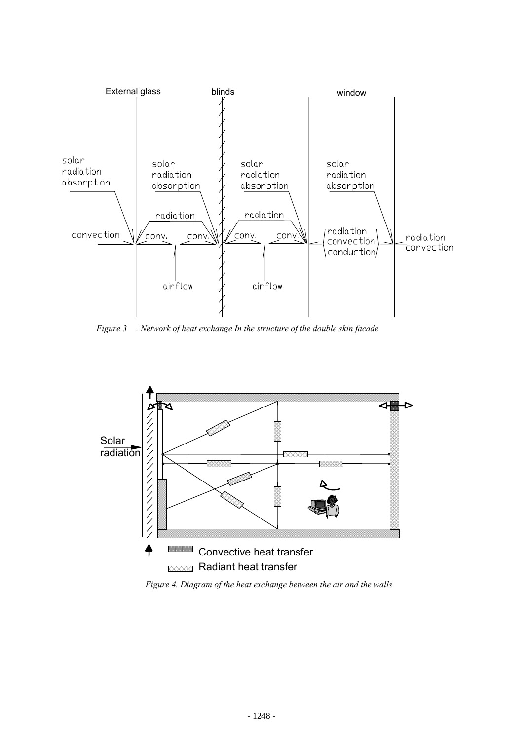

*Figure 3 . Network of heat exchange In the structure of the double skin facade*



*Figure 4. Diagram of the heat exchange between the air and the walls*